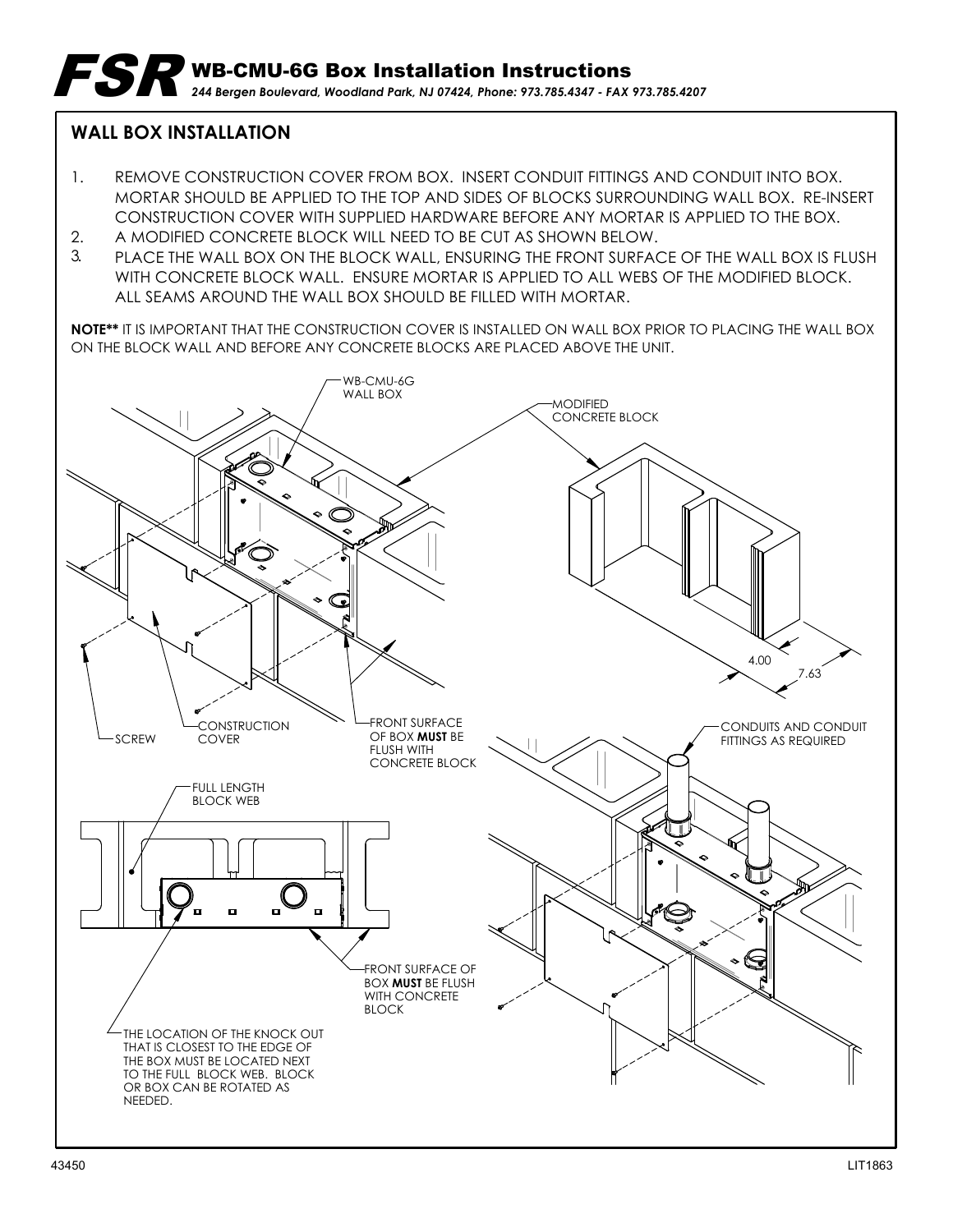## **WALL BOX INSTALLATION**

- 1. REMOVE CONSTRUCTION COVER FROM BOX. INSERT CONDUIT FITTINGS AND CONDUIT INTO BOX. MORTAR SHOULD BE APPLIED TO THE TOP AND SIDES OF BLOCKS SURROUNDING WALL BOX. RE-INSERT CONSTRUCTION COVER WITH SUPPLIED HARDWARE BEFORE ANY MORTAR IS APPLIED TO THE BOX.
- 2. A MODIFIED CONCRETE BLOCK WILL NEED TO BE CUT AS SHOWN BELOW.
- ALL SEAMS AROUND THE WALL BOX SHOULD BE FILLED WITH MORTAR. 3. PLACE THE WALL BOX ON THE BLOCK WALL, ENSURING THE FRONT SURFACE OF THE WALL BOX IS FLUSH WITH CONCRETE BLOCK WALL. ENSURE MORTAR IS APPLIED TO ALL WEBS OF THE MODIFIED BLOCK.

**NOTE\*\*** IT IS IMPORTANT THAT THE CONSTRUCTION COVER IS INSTALLED ON WALL BOX PRIOR TO PLACING THE WALL BOX ON THE BLOCK WALL AND BEFORE ANY CONCRETE BLOCKS ARE PLACED ABOVE THE UNIT.

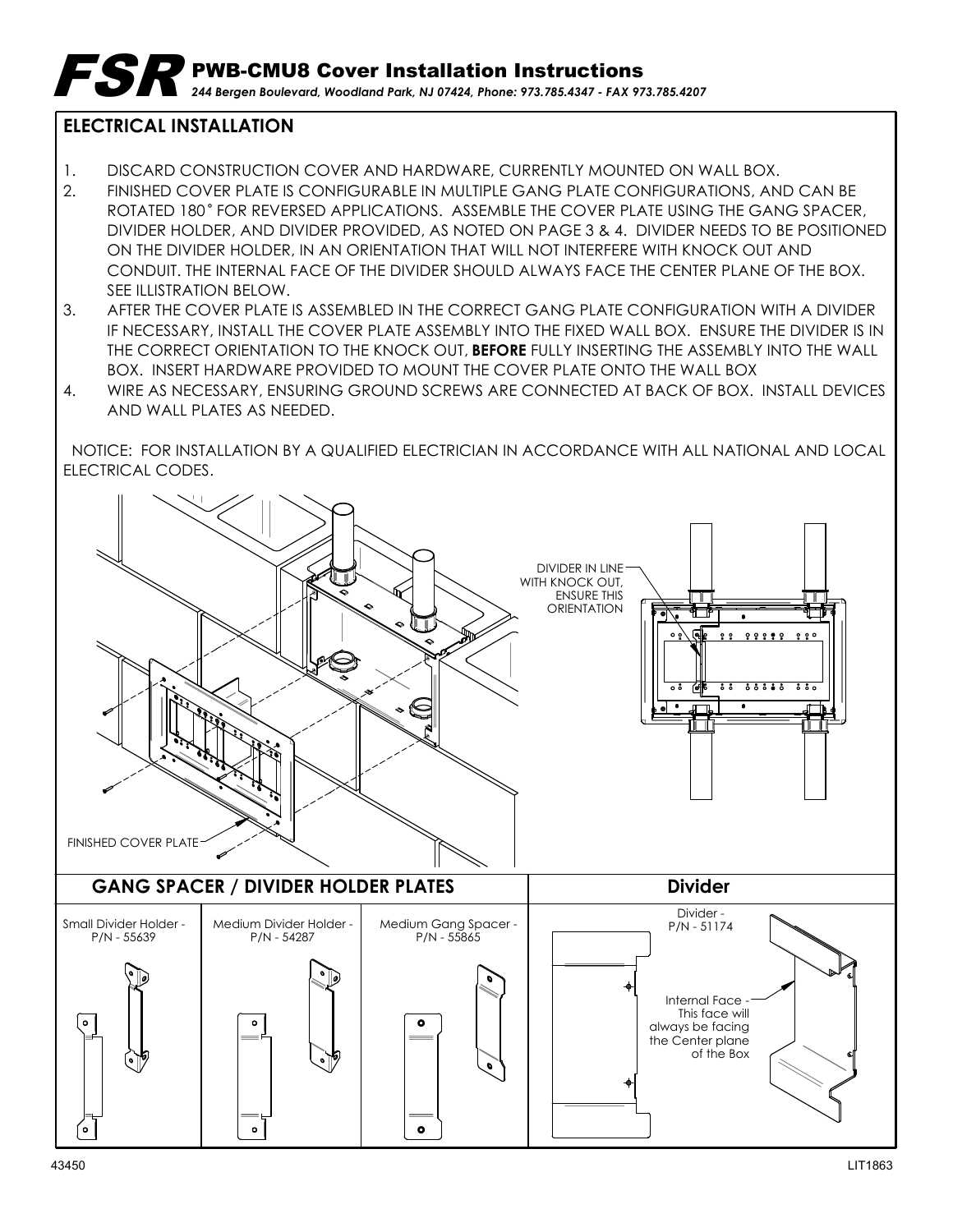## **ELECTRICAL INSTALLATION**

- 1. DISCARD CONSTRUCTION COVER AND HARDWARE, CURRENTLY MOUNTED ON WALL BOX.
- 2. FINISHED COVER PLATE IS CONFIGURABLE IN MULTIPLE GANG PLATE CONFIGURATIONS, AND CAN BE ROTATED 180° FOR REVERSED APPLICATIONS. ASSEMBLE THE COVER PLATE USING THE GANG SPACER, DIVIDER HOLDER, AND DIVIDER PROVIDED, AS NOTED ON PAGE 3 & 4. DIVIDER NEEDS TO BE POSITIONED ON THE DIVIDER HOLDER, IN AN ORIENTATION THAT WILL NOT INTERFERE WITH KNOCK OUT AND CONDUIT. THE INTERNAL FACE OF THE DIVIDER SHOULD ALWAYS FACE THE CENTER PLANE OF THE BOX. SEE ILLISTRATION BELOW.
- 3. AFTER THE COVER PLATE IS ASSEMBLED IN THE CORRECT GANG PLATE CONFIGURATION WITH A DIVIDER IF NECESSARY, INSTALL THE COVER PLATE ASSEMBLY INTO THE FIXED WALL BOX. ENSURE THE DIVIDER IS IN THE CORRECT ORIENTATION TO THE KNOCK OUT, **BEFORE** FULLY INSERTING THE ASSEMBLY INTO THE WALL BOX. INSERT HARDWARE PROVIDED TO MOUNT THE COVER PLATE ONTO THE WALL BOX
- 4. WIRE AS NECESSARY, ENSURING GROUND SCREWS ARE CONNECTED AT BACK OF BOX. INSTALL DEVICES AND WALL PLATES AS NEEDED.

 NOTICE: FOR INSTALLATION BY A QUALIFIED ELECTRICIAN IN ACCORDANCE WITH ALL NATIONAL AND LOCAL ELECTRICAL CODES.

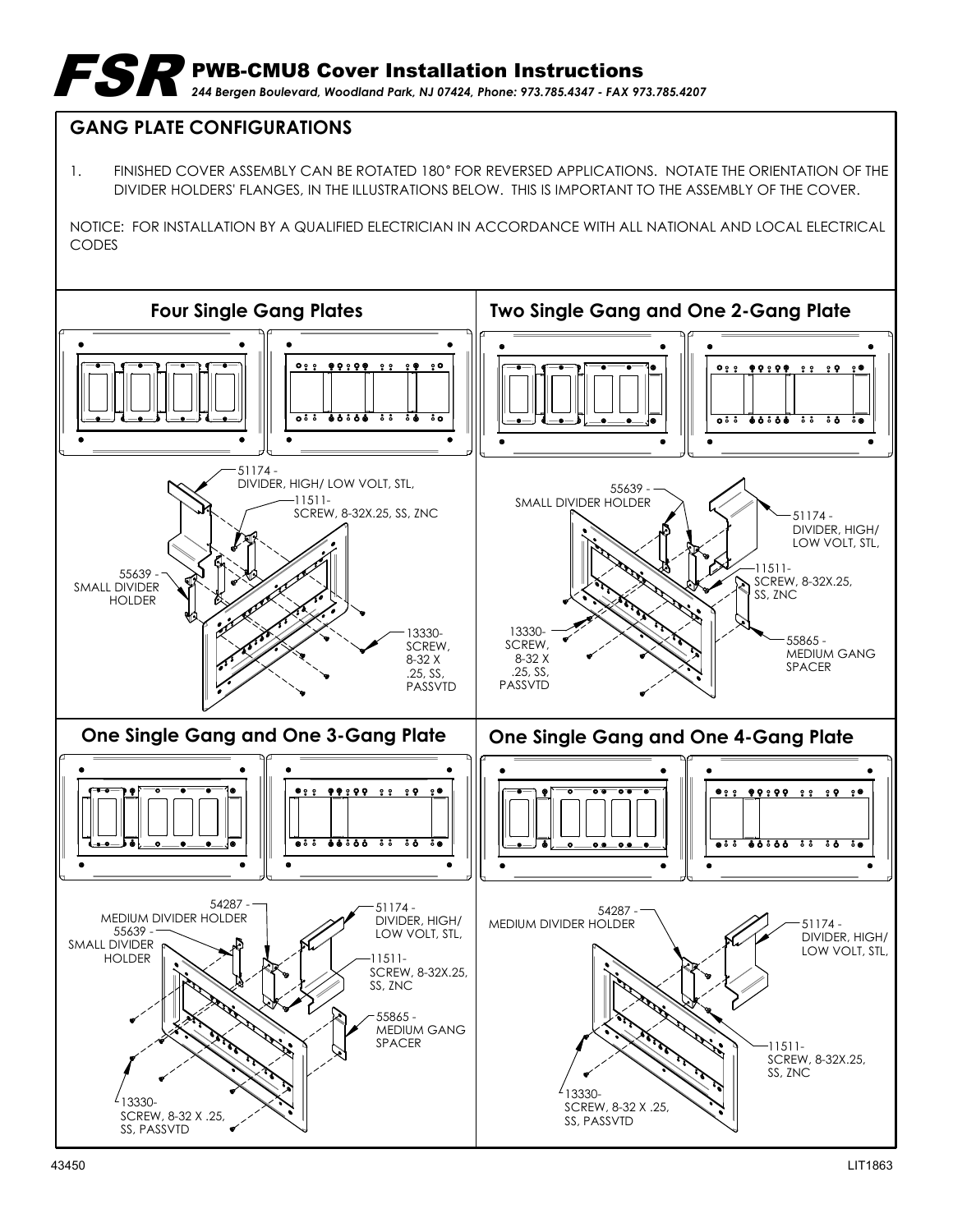## **GANG PLATE CONFIGURATIONS**

1. FINISHED COVER ASSEMBLY CAN BE ROTATED 180° FOR REVERSED APPLICATIONS. NOTATE THE ORIENTATION OF THE DIVIDER HOLDERS' FLANGES, IN THE ILLUSTRATIONS BELOW. THIS IS IMPORTANT TO THE ASSEMBLY OF THE COVER.

NOTICE: FOR INSTALLATION BY A QUALIFIED ELECTRICIAN IN ACCORDANCE WITH ALL NATIONAL AND LOCAL ELECTRICAL CODES